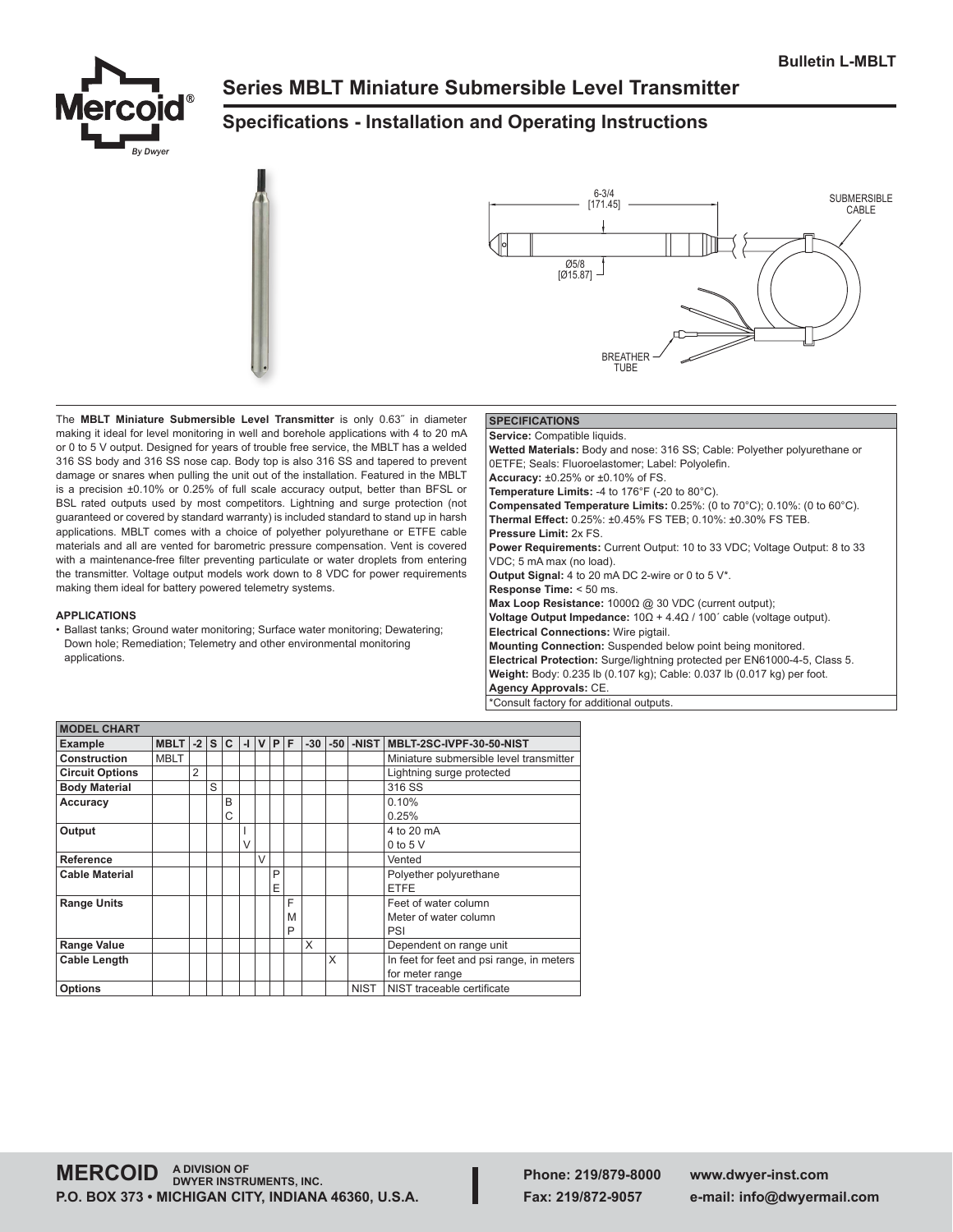

# **Series MBLT Miniature Submersible Level Transmitter**

## **Specifications - Installation and Operating Instructions**





The **MBLT Miniature Submersible Level Transmitter** is only 0.63˝ in diameter making it ideal for level monitoring in well and borehole applications with 4 to 20 mA or 0 to 5 V output. Designed for years of trouble free service, the MBLT has a welded 316 SS body and 316 SS nose cap. Body top is also 316 SS and tapered to prevent damage or snares when pulling the unit out of the installation. Featured in the MBLT is a precision ±0.10% or 0.25% of full scale accuracy output, better than BFSL or BSL rated outputs used by most competitors. Lightning and surge protection (not guaranteed or covered by standard warranty) is included standard to stand up in harsh applications. MBLT comes with a choice of polyether polyurethane or ETFE cable materials and all are vented for barometric pressure compensation. Vent is covered with a maintenance-free filter preventing particulate or water droplets from entering the transmitter. Voltage output models work down to 8 VDC for power requirements making them ideal for battery powered telemetry systems.

### **APPLICATIONS**

• Ballast tanks; Ground water monitoring; Surface water monitoring; Dewatering; Down hole; Remediation; Telemetry and other environmental monitoring applications.

### **SPECIFICATIONS**

**Service:** Compatible liquids. **Wetted Materials:** Body and nose: 316 SS; Cable: Polyether polyurethane or 0ETFE; Seals: Fluoroelastomer; Label: Polyolefin. **Accuracy:** ±0.25% or ±0.10% of FS. **Temperature Limits:** -4 to 176°F (-20 to 80°C). **Compensated Temperature Limits:** 0.25%: (0 to 70°C); 0.10%: (0 to 60°C). **Thermal Effect:** 0.25%: ±0.45% FS TEB; 0.10%: ±0.30% FS TEB. **Pressure Limit:** 2x FS. **Power Requirements:** Current Output: 10 to 33 VDC; Voltage Output: 8 to 33 VDC; 5 mA max (no load). **Output Signal:** 4 to 20 mA DC 2-wire or 0 to 5 V\*. **Response Time:** < 50 ms. **Max Loop Resistance:** 1000Ω @ 30 VDC (current output); **Voltage Output Impedance:** 10Ω + 4.4Ω / 100´ cable (voltage output). **Electrical Connections:** Wire pigtail. **Mounting Connection:** Suspended below point being monitored. **Electrical Protection:** Surge/lightning protected per EN61000-4-5, Class 5. **Weight:** Body: 0.235 lb (0.107 kg); Cable: 0.037 lb (0.017 kg) per foot. **Agency Approvals:** CE. \*Consult factory for additional outputs.

| <b>MODEL CHART</b>     |             |                |                |   |              |        |   |   |       |       |             |                                           |
|------------------------|-------------|----------------|----------------|---|--------------|--------|---|---|-------|-------|-------------|-------------------------------------------|
| <b>Example</b>         | <b>MBLT</b> | $-2$           | s <sub>1</sub> | C | $\mathbf{I}$ | v      | P | F | $-30$ | $-50$ | -NIST       | MBLT-2SC-IVPF-30-50-NIST                  |
| Construction           | <b>MBLT</b> |                |                |   |              |        |   |   |       |       |             | Miniature submersible level transmitter   |
| <b>Circuit Options</b> |             | $\overline{2}$ |                |   |              |        |   |   |       |       |             | Lightning surge protected                 |
| <b>Body Material</b>   |             |                | S              |   |              |        |   |   |       |       |             | 316 SS                                    |
| <b>Accuracy</b>        |             |                |                | B |              |        |   |   |       |       |             | 0.10%                                     |
|                        |             |                |                | C |              |        |   |   |       |       |             | 0.25%                                     |
| Output                 |             |                |                |   |              |        |   |   |       |       |             | 4 to 20 mA                                |
|                        |             |                |                |   | V            |        |   |   |       |       |             | $0$ to $5$ V                              |
| Reference              |             |                |                |   |              | $\vee$ |   |   |       |       |             | Vented                                    |
| <b>Cable Material</b>  |             |                |                |   |              |        | P |   |       |       |             | Polyether polyurethane                    |
|                        |             |                |                |   |              |        | Е |   |       |       |             | <b>ETFE</b>                               |
| <b>Range Units</b>     |             |                |                |   |              |        |   | F |       |       |             | Feet of water column                      |
|                        |             |                |                |   |              |        |   | M |       |       |             | Meter of water column                     |
|                        |             |                |                |   |              |        |   | P |       |       |             | PSI                                       |
| <b>Range Value</b>     |             |                |                |   |              |        |   |   | X     |       |             | Dependent on range unit                   |
| <b>Cable Length</b>    |             |                |                |   |              |        |   |   |       | X     |             | In feet for feet and psi range, in meters |
|                        |             |                |                |   |              |        |   |   |       |       |             | for meter range                           |
| <b>Options</b>         |             |                |                |   |              |        |   |   |       |       | <b>NIST</b> | NIST traceable certificate                |